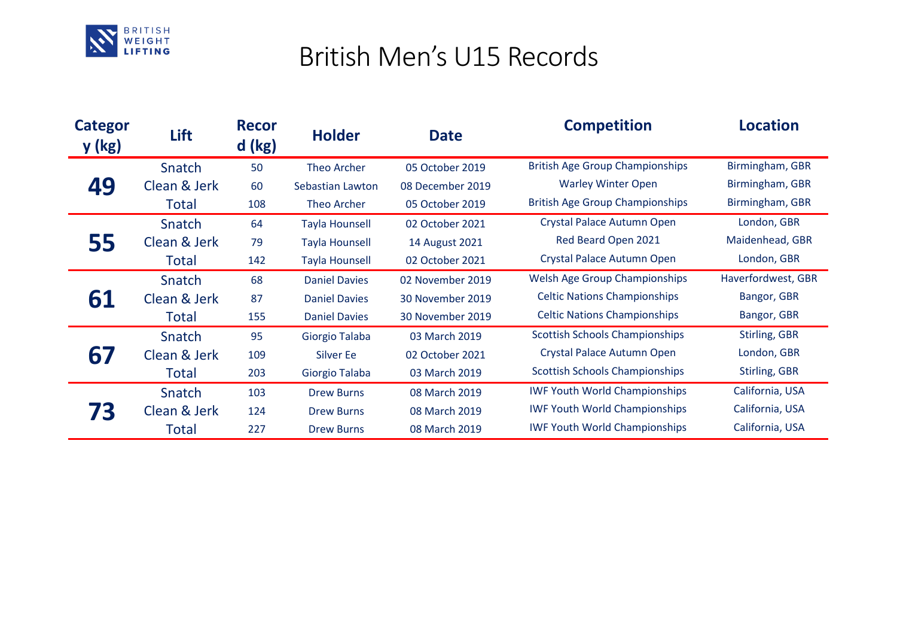

## British Men's U15 Records

| <b>Categor</b><br>y (kg) | Lift         | <b>Recor</b><br>$d$ (kg) | <b>Holder</b>         | <b>Date</b>      | <b>Competition</b>                     | <b>Location</b>      |
|--------------------------|--------------|--------------------------|-----------------------|------------------|----------------------------------------|----------------------|
| 49                       | Snatch       | 50                       | Theo Archer           | 05 October 2019  | <b>British Age Group Championships</b> | Birmingham, GBR      |
|                          | Clean & Jerk | 60                       | Sebastian Lawton      | 08 December 2019 | <b>Warley Winter Open</b>              | Birmingham, GBR      |
|                          | Total        | 108                      | Theo Archer           | 05 October 2019  | <b>British Age Group Championships</b> | Birmingham, GBR      |
| 55                       | Snatch       | 64                       | <b>Tayla Hounsell</b> | 02 October 2021  | Crystal Palace Autumn Open             | London, GBR          |
|                          | Clean & Jerk | 79                       | <b>Tayla Hounsell</b> | 14 August 2021   | Red Beard Open 2021                    | Maidenhead, GBR      |
|                          | Total        | 142                      | <b>Tayla Hounsell</b> | 02 October 2021  | Crystal Palace Autumn Open             | London, GBR          |
| 61                       | Snatch       | 68                       | <b>Daniel Davies</b>  | 02 November 2019 | <b>Welsh Age Group Championships</b>   | Haverfordwest, GBR   |
|                          | Clean & Jerk | 87                       | <b>Daniel Davies</b>  | 30 November 2019 | <b>Celtic Nations Championships</b>    | Bangor, GBR          |
|                          | Total        | 155                      | <b>Daniel Davies</b>  | 30 November 2019 | <b>Celtic Nations Championships</b>    | Bangor, GBR          |
| 67                       | Snatch       | 95                       | Giorgio Talaba        | 03 March 2019    | <b>Scottish Schools Championships</b>  | <b>Stirling, GBR</b> |
|                          | Clean & Jerk | 109                      | Silver Ee             | 02 October 2021  | Crystal Palace Autumn Open             | London, GBR          |
|                          | Total        | 203                      | Giorgio Talaba        | 03 March 2019    | <b>Scottish Schools Championships</b>  | <b>Stirling, GBR</b> |
|                          | Snatch       | 103                      | <b>Drew Burns</b>     | 08 March 2019    | <b>IWF Youth World Championships</b>   | California, USA      |
|                          | Clean & Jerk | 124                      | <b>Drew Burns</b>     | 08 March 2019    | <b>IWF Youth World Championships</b>   | California, USA      |
|                          | Total        | 227                      | <b>Drew Burns</b>     | 08 March 2019    | <b>IWF Youth World Championships</b>   | California, USA      |